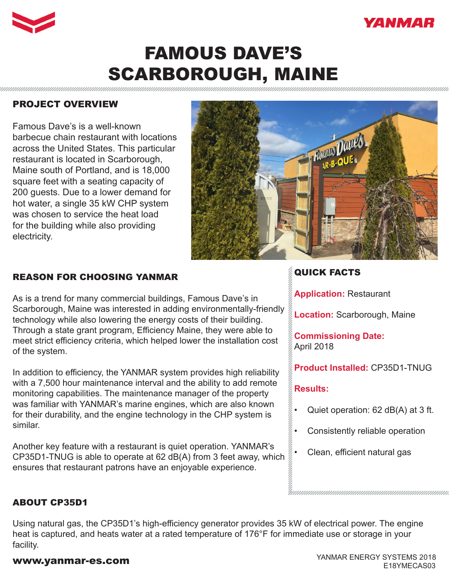



# FAMOUS DAVE'S SCARBOROUGH, MAINE

### PROJECT OVERVIEW

Famous Dave's is a well-known barbecue chain restaurant with locations across the United States. This particular restaurant is located in Scarborough, Maine south of Portland, and is 18,000 square feet with a seating capacity of 200 guests. Due to a lower demand for hot water, a single 35 kW CHP system was chosen to service the heat load for the building while also providing electricity.



### REASON FOR CHOOSING YANMAR

As is a trend for many commercial buildings, Famous Dave's in Scarborough, Maine was interested in adding environmentally-friendly technology while also lowering the energy costs of their building. Through a state grant program, Efficiency Maine, they were able to meet strict efficiency criteria, which helped lower the installation cost of the system.

In addition to efficiency, the YANMAR system provides high reliability with a 7,500 hour maintenance interval and the ability to add remote monitoring capabilities. The maintenance manager of the property was familiar with YANMAR's marine engines, which are also known for their durability, and the engine technology in the CHP system is similar.

Another key feature with a restaurant is quiet operation. YANMAR's CP35D1-TNUG is able to operate at 62 dB(A) from 3 feet away, which ensures that restaurant patrons have an enjoyable experience.

### QUICK FACTS

**Application:** Restaurant

**Location:** Scarborough, Maine

**Commissioning Date:**  April 2018

**Product Installed:** CP35D1-TNUG

### **Results:**

- Quiet operation: 62 dB(A) at 3 ft.
- Consistently reliable operation
	- Clean, efficient natural gas

### ABOUT CP35D1

Using natural gas, the CP35D1's high-efficiency generator provides 35 kW of electrical power. The engine heat is captured, and heats water at a rated temperature of 176°F for immediate use or storage in your facility.